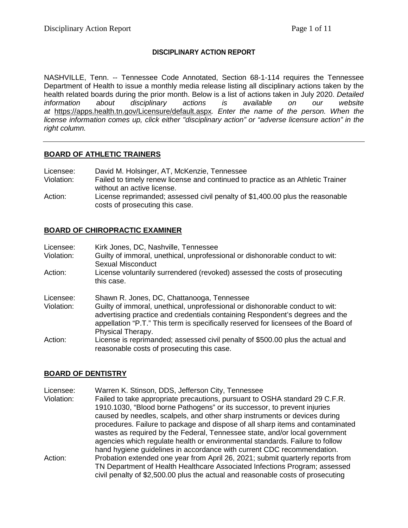# **DISCIPLINARY ACTION REPORT**

NASHVILLE, Tenn. -- Tennessee Code Annotated, Section 68-1-114 requires the Tennessee Department of Health to issue a monthly media release listing all disciplinary actions taken by the health related boards during the prior month. Below is a list of actions taken in July 2020. *Detailed information about disciplinary actions is available on our website at* <https://apps.health.tn.gov/Licensure/default.aspx>*. Enter the name of the person. When the license information comes up, click either "disciplinary action" or "adverse licensure action" in the right column.*

### **BOARD OF ATHLETIC TRAINERS**

| Licensee:  | David M. Holsinger, AT, McKenzie, Tennessee                                                                   |
|------------|---------------------------------------------------------------------------------------------------------------|
| Violation: | Failed to timely renew license and continued to practice as an Athletic Trainer<br>without an active license. |
| Action:    | License reprimanded; assessed civil penalty of \$1,400.00 plus the reasonable                                 |
|            | costs of prosecuting this case.                                                                               |

# **BOARD OF CHIROPRACTIC EXAMINER**

| Licensee:  | Kirk Jones, DC, Nashville, Tennessee                                                                                                                                                                                                                                     |
|------------|--------------------------------------------------------------------------------------------------------------------------------------------------------------------------------------------------------------------------------------------------------------------------|
| Violation: | Guilty of immoral, unethical, unprofessional or dishonorable conduct to wit:                                                                                                                                                                                             |
|            | Sexual Misconduct                                                                                                                                                                                                                                                        |
| Action:    | License voluntarily surrendered (revoked) assessed the costs of prosecuting<br>this case.                                                                                                                                                                                |
| Licensee:  | Shawn R. Jones, DC, Chattanooga, Tennessee                                                                                                                                                                                                                               |
| Violation: | Guilty of immoral, unethical, unprofessional or dishonorable conduct to wit:<br>advertising practice and credentials containing Respondent's degrees and the<br>appellation "P.T." This term is specifically reserved for licensees of the Board of<br>Physical Therapy. |
| Action:    | License is reprimanded; assessed civil penalty of \$500.00 plus the actual and<br>reasonable costs of prosecuting this case.                                                                                                                                             |

# **BOARD OF DENTISTRY**

Licensee: Warren K. Stinson, DDS, Jefferson City, Tennessee Violation: Failed to take appropriate precautions, pursuant to OSHA standard 29 C.F.R. 1910.1030, "Blood borne Pathogens" or its successor, to prevent injuries caused by needles, scalpels, and other sharp instruments or devices during procedures. Failure to package and dispose of all sharp items and contaminated wastes as required by the Federal, Tennessee state, and/or local government agencies which regulate health or environmental standards. Failure to follow hand hygiene guidelines in accordance with current CDC recommendation. Action: Probation extended one year from April 26, 2021; submit quarterly reports from TN Department of Health Healthcare Associated Infections Program; assessed civil penalty of \$2,500.00 plus the actual and reasonable costs of prosecuting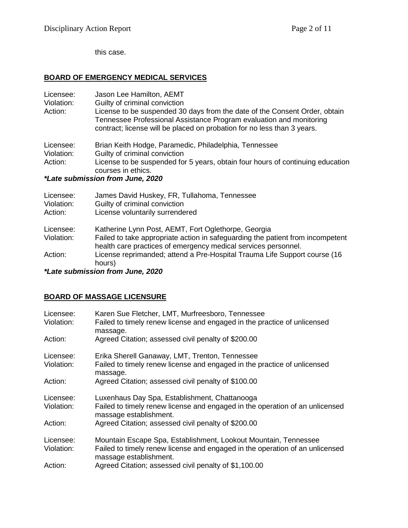this case.

#### **BOARD OF EMERGENCY MEDICAL SERVICES**

| Licensee:<br>Violation:<br>Action: | Jason Lee Hamilton, AEMT<br>Guilty of criminal conviction<br>License to be suspended 30 days from the date of the Consent Order, obtain<br>Tennessee Professional Assistance Program evaluation and monitoring<br>contract; license will be placed on probation for no less than 3 years. |
|------------------------------------|-------------------------------------------------------------------------------------------------------------------------------------------------------------------------------------------------------------------------------------------------------------------------------------------|
| Licensee:                          | Brian Keith Hodge, Paramedic, Philadelphia, Tennessee                                                                                                                                                                                                                                     |
| Violation:                         | Guilty of criminal conviction                                                                                                                                                                                                                                                             |
| Action:                            | License to be suspended for 5 years, obtain four hours of continuing education<br>courses in ethics.                                                                                                                                                                                      |
|                                    | *Late submission from June, 2020                                                                                                                                                                                                                                                          |
|                                    |                                                                                                                                                                                                                                                                                           |
| Licensee:                          | James David Huskey, FR, Tullahoma, Tennessee                                                                                                                                                                                                                                              |

Violation: Guilty of criminal conviction

| Action: |  | License voluntarily surrendered |
|---------|--|---------------------------------|

Licensee: Katherine Lynn Post, AEMT, Fort Oglethorpe, Georgia

Violation: Failed to take appropriate action in safeguarding the patient from incompetent health care practices of emergency medical services personnel.

Action: License reprimanded; attend a Pre-Hospital Trauma Life Support course (16 hours)

*\*Late submission from June, 2020*

# **BOARD OF MASSAGE LICENSURE**

| Licensee:<br>Violation: | Karen Sue Fletcher, LMT, Murfreesboro, Tennessee<br>Failed to timely renew license and engaged in the practice of unlicensed<br>massage.                                  |
|-------------------------|---------------------------------------------------------------------------------------------------------------------------------------------------------------------------|
| Action:                 | Agreed Citation; assessed civil penalty of \$200.00                                                                                                                       |
| Licensee:<br>Violation: | Erika Sherell Ganaway, LMT, Trenton, Tennessee<br>Failed to timely renew license and engaged in the practice of unlicensed<br>massage.                                    |
| Action:                 | Agreed Citation; assessed civil penalty of \$100.00                                                                                                                       |
| Licensee:<br>Violation: | Luxenhaus Day Spa, Establishment, Chattanooga<br>Failed to timely renew license and engaged in the operation of an unlicensed<br>massage establishment.                   |
| Action:                 | Agreed Citation; assessed civil penalty of \$200.00                                                                                                                       |
| Licensee:<br>Violation: | Mountain Escape Spa, Establishment, Lookout Mountain, Tennessee<br>Failed to timely renew license and engaged in the operation of an unlicensed<br>massage establishment. |
| Action:                 | Agreed Citation; assessed civil penalty of \$1,100.00                                                                                                                     |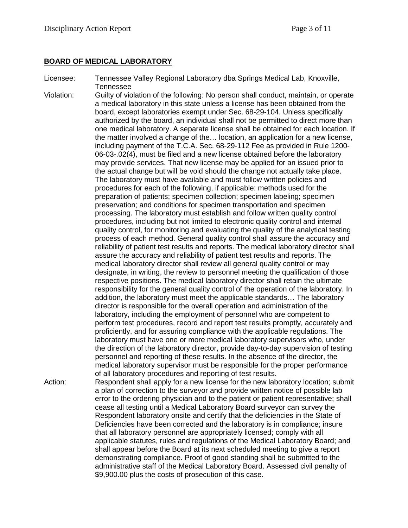### **BOARD OF MEDICAL LABORATORY**

- Licensee: Tennessee Valley Regional Laboratory dba Springs Medical Lab, Knoxville, Tennessee
- Violation: Guilty of violation of the following: No person shall conduct, maintain, or operate a medical laboratory in this state unless a license has been obtained from the board, except laboratories exempt under Sec. 68-29-104. Unless specifically authorized by the board, an individual shall not be permitted to direct more than one medical laboratory. A separate license shall be obtained for each location. If the matter involved a change of the… location, an application for a new license, including payment of the T.C.A. Sec. 68-29-112 Fee as provided in Rule 1200- 06-03-.02(4), must be filed and a new license obtained before the laboratory may provide services. That new license may be applied for an issued prior to the actual change but will be void should the change not actually take place. The laboratory must have available and must follow written policies and procedures for each of the following, if applicable: methods used for the preparation of patients; specimen collection; specimen labeling; specimen preservation; and conditions for specimen transportation and specimen processing. The laboratory must establish and follow written quality control procedures, including but not limited to electronic quality control and internal quality control, for monitoring and evaluating the quality of the analytical testing process of each method. General quality control shall assure the accuracy and reliability of patient test results and reports. The medical laboratory director shall assure the accuracy and reliability of patient test results and reports. The medical laboratory director shall review all general quality control or may designate, in writing, the review to personnel meeting the qualification of those respective positions. The medical laboratory director shall retain the ultimate responsibility for the general quality control of the operation of the laboratory. In addition, the laboratory must meet the applicable standards… The laboratory director is responsible for the overall operation and administration of the laboratory, including the employment of personnel who are competent to perform test procedures, record and report test results promptly, accurately and proficiently, and for assuring compliance with the applicable regulations. The laboratory must have one or more medical laboratory supervisors who, under the direction of the laboratory director, provide day-to-day supervision of testing personnel and reporting of these results. In the absence of the director, the medical laboratory supervisor must be responsible for the proper performance of all laboratory procedures and reporting of test results. Action: Respondent shall apply for a new license for the new laboratory location; submit a plan of correction to the surveyor and provide written notice of possible lab error to the ordering physician and to the patient or patient representative; shall cease all testing until a Medical Laboratory Board surveyor can survey the

Respondent laboratory onsite and certify that the deficiencies in the State of Deficiencies have been corrected and the laboratory is in compliance; insure that all laboratory personnel are appropriately licensed; comply with all

\$9,900.00 plus the costs of prosecution of this case.

applicable statutes, rules and regulations of the Medical Laboratory Board; and shall appear before the Board at its next scheduled meeting to give a report demonstrating compliance. Proof of good standing shall be submitted to the administrative staff of the Medical Laboratory Board. Assessed civil penalty of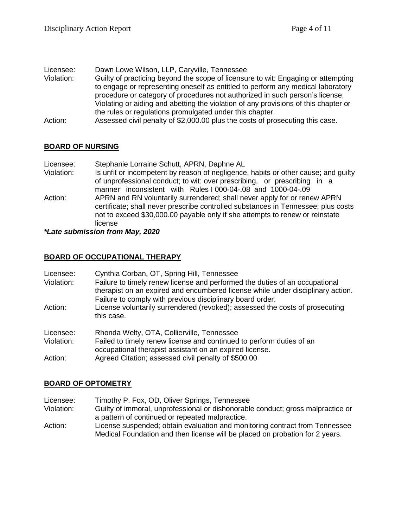| Licensee:  | Dawn Lowe Wilson, LLP, Caryville, Tennessee                                         |
|------------|-------------------------------------------------------------------------------------|
| Violation: | Guilty of practicing beyond the scope of licensure to wit: Engaging or attempting   |
|            | to engage or representing oneself as entitled to perform any medical laboratory     |
|            | procedure or category of procedures not authorized in such person's license;        |
|            | Violating or aiding and abetting the violation of any provisions of this chapter or |
|            | the rules or regulations promulgated under this chapter.                            |
| Action:    | Assessed civil penalty of \$2,000.00 plus the costs of prosecuting this case.       |

# **BOARD OF NURSING**

| Licensee:  | Stephanie Lorraine Schutt, APRN, Daphne AL                                                                                                                                                                                                               |
|------------|----------------------------------------------------------------------------------------------------------------------------------------------------------------------------------------------------------------------------------------------------------|
| Violation: | Is unfit or incompetent by reason of negligence, habits or other cause; and guilty<br>of unprofessional conduct; to wit: over prescribing, or prescribing in a                                                                                           |
|            | manner inconsistent with Rules I 000-04-.08 and 1000-04-.09                                                                                                                                                                                              |
| Action:    | APRN and RN voluntarily surrendered; shall never apply for or renew APRN<br>certificate; shall never prescribe controlled substances in Tennessee; plus costs<br>not to exceed \$30,000.00 payable only if she attempts to renew or reinstate<br>license |

*\*Late submission from May, 2020*

### **BOARD OF OCCUPATIONAL THERAPY**

| Licensee:<br>Violation: | Cynthia Corban, OT, Spring Hill, Tennessee<br>Failure to timely renew license and performed the duties of an occupational<br>therapist on an expired and encumbered license while under disciplinary action.<br>Failure to comply with previous disciplinary board order. |
|-------------------------|---------------------------------------------------------------------------------------------------------------------------------------------------------------------------------------------------------------------------------------------------------------------------|
| Action:                 | License voluntarily surrendered (revoked); assessed the costs of prosecuting<br>this case.                                                                                                                                                                                |
| Licensee:               | Rhonda Welty, OTA, Collierville, Tennessee                                                                                                                                                                                                                                |
| Violation:              | Failed to timely renew license and continued to perform duties of an<br>occupational therapist assistant on an expired license.                                                                                                                                           |
| Action:                 | Agreed Citation; assessed civil penalty of \$500.00                                                                                                                                                                                                                       |

# **BOARD OF OPTOMETRY**

| Licensee: | Timothy P. Fox, OD, Oliver Springs, Tennessee |  |  |  |
|-----------|-----------------------------------------------|--|--|--|
| $\cdots$  |                                               |  |  |  |

Violation: Guilty of immoral, unprofessional or dishonorable conduct; gross malpractice or a pattern of continued or repeated malpractice.

Action: License suspended; obtain evaluation and monitoring contract from Tennessee Medical Foundation and then license will be placed on probation for 2 years.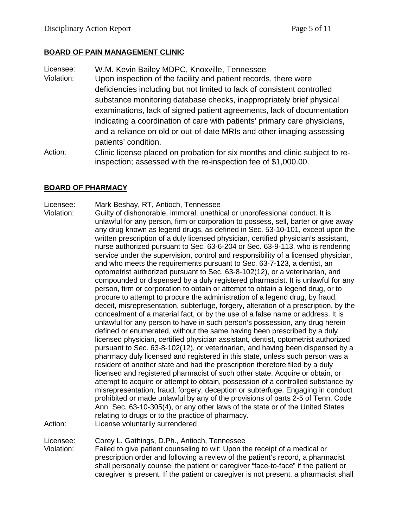### **BOARD OF PAIN MANAGEMENT CLINIC**

- Licensee: W.M. Kevin Bailey MDPC, Knoxville, Tennessee Violation: Upon inspection of the facility and patient records, there were deficiencies including but not limited to lack of consistent controlled substance monitoring database checks, inappropriately brief physical examinations, lack of signed patient agreements, lack of documentation indicating a coordination of care with patients' primary care physicians, and a reliance on old or out-of-date MRIs and other imaging assessing patients' condition.
- Action: Clinic license placed on probation for six months and clinic subject to reinspection; assessed with the re-inspection fee of \$1,000.00.

### **BOARD OF PHARMACY**

### Licensee: Mark Beshay, RT, Antioch, Tennessee

Violation: Guilty of dishonorable, immoral, unethical or unprofessional conduct. It is unlawful for any person, firm or corporation to possess, sell, barter or give away any drug known as legend drugs, as defined in Sec. 53-10-101, except upon the written prescription of a duly licensed physician, certified physician's assistant, nurse authorized pursuant to Sec. 63-6-204 or Sec. 63-9-113, who is rendering service under the supervision, control and responsibility of a licensed physician, and who meets the requirements pursuant to Sec. 63-7-123, a dentist, an optometrist authorized pursuant to Sec. 63-8-102(12), or a veterinarian, and compounded or dispensed by a duly registered pharmacist. It is unlawful for any person, firm or corporation to obtain or attempt to obtain a legend drug, or to procure to attempt to procure the administration of a legend drug, by fraud, deceit, misrepresentation, subterfuge, forgery, alteration of a prescription, by the concealment of a material fact, or by the use of a false name or address. It is unlawful for any person to have in such person's possession, any drug herein defined or enumerated, without the same having been prescribed by a duly licensed physician, certified physician assistant, dentist, optometrist authorized pursuant to Sec. 63-8-102(12), or veterinarian, and having been dispensed by a pharmacy duly licensed and registered in this state, unless such person was a resident of another state and had the prescription therefore filed by a duly licensed and registered pharmacist of such other state. Acquire or obtain, or attempt to acquire or attempt to obtain, possession of a controlled substance by misrepresentation, fraud, forgery, deception or subterfuge. Engaging in conduct prohibited or made unlawful by any of the provisions of parts 2-5 of Tenn. Code Ann. Sec. 63-10-305(4), or any other laws of the state or of the United States relating to drugs or to the practice of pharmacy. Action: License voluntarily surrendered

Licensee: Corey L. Gathings, D.Ph., Antioch, Tennessee

Violation: Failed to give patient counseling to wit: Upon the receipt of a medical or prescription order and following a review of the patient's record, a pharmacist shall personally counsel the patient or caregiver "face-to-face" if the patient or caregiver is present. If the patient or caregiver is not present, a pharmacist shall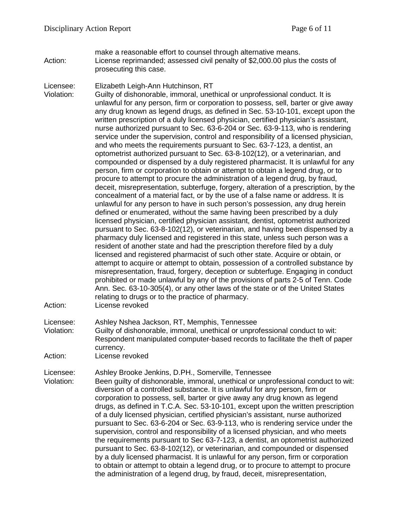- make a reasonable effort to counsel through alternative means. Action: License reprimanded; assessed civil penalty of \$2,000.00 plus the costs of prosecuting this case.
- Licensee: Elizabeth Leigh-Ann Hutchinson, RT

Violation: Guilty of dishonorable, immoral, unethical or unprofessional conduct. It is unlawful for any person, firm or corporation to possess, sell, barter or give away any drug known as legend drugs, as defined in Sec. 53-10-101, except upon the written prescription of a duly licensed physician, certified physician's assistant, nurse authorized pursuant to Sec. 63-6-204 or Sec. 63-9-113, who is rendering service under the supervision, control and responsibility of a licensed physician, and who meets the requirements pursuant to Sec. 63-7-123, a dentist, an optometrist authorized pursuant to Sec. 63-8-102(12), or a veterinarian, and compounded or dispensed by a duly registered pharmacist. It is unlawful for any person, firm or corporation to obtain or attempt to obtain a legend drug, or to procure to attempt to procure the administration of a legend drug, by fraud, deceit, misrepresentation, subterfuge, forgery, alteration of a prescription, by the concealment of a material fact, or by the use of a false name or address. It is unlawful for any person to have in such person's possession, any drug herein defined or enumerated, without the same having been prescribed by a duly licensed physician, certified physician assistant, dentist, optometrist authorized pursuant to Sec. 63-8-102(12), or veterinarian, and having been dispensed by a pharmacy duly licensed and registered in this state, unless such person was a resident of another state and had the prescription therefore filed by a duly licensed and registered pharmacist of such other state. Acquire or obtain, or attempt to acquire or attempt to obtain, possession of a controlled substance by misrepresentation, fraud, forgery, deception or subterfuge. Engaging in conduct prohibited or made unlawful by any of the provisions of parts 2-5 of Tenn. Code Ann. Sec. 63-10-305(4), or any other laws of the state or of the United States relating to drugs or to the practice of pharmacy. Action: License revoked

Licensee: Ashley Nshea Jackson, RT, Memphis, Tennessee

Violation: Guilty of dishonorable, immoral, unethical or unprofessional conduct to wit: Respondent manipulated computer-based records to facilitate the theft of paper currency.

Action: License revoked

Licensee: Ashley Brooke Jenkins, D.PH., Somerville, Tennessee

Violation: Been guilty of dishonorable, immoral, unethical or unprofessional conduct to wit: diversion of a controlled substance. It is unlawful for any person, firm or corporation to possess, sell, barter or give away any drug known as legend drugs, as defined in T.C.A. Sec. 53-10-101, except upon the written prescription of a duly licensed physician, certified physician's assistant, nurse authorized pursuant to Sec. 63-6-204 or Sec. 63-9-113, who is rendering service under the supervision, control and responsibility of a licensed physician, and who meets the requirements pursuant to Sec 63-7-123, a dentist, an optometrist authorized pursuant to Sec. 63-8-102(12), or veterinarian, and compounded or dispensed by a duly licensed pharmacist. It is unlawful for any person, firm or corporation to obtain or attempt to obtain a legend drug, or to procure to attempt to procure the administration of a legend drug, by fraud, deceit, misrepresentation,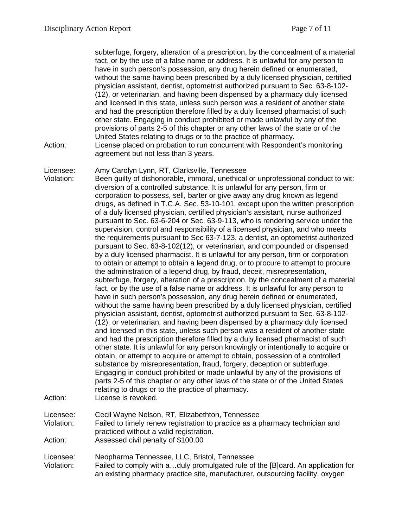subterfuge, forgery, alteration of a prescription, by the concealment of a material fact, or by the use of a false name or address. It is unlawful for any person to have in such person's possession, any drug herein defined or enumerated, without the same having been prescribed by a duly licensed physician, certified physician assistant, dentist, optometrist authorized pursuant to Sec. 63-8-102- (12), or veterinarian, and having been dispensed by a pharmacy duly licensed and licensed in this state, unless such person was a resident of another state and had the prescription therefore filled by a duly licensed pharmacist of such other state. Engaging in conduct prohibited or made unlawful by any of the provisions of parts 2-5 of this chapter or any other laws of the state or of the United States relating to drugs or to the practice of pharmacy.

- Action: License placed on probation to run concurrent with Respondent's monitoring agreement but not less than 3 years.
- Licensee: Amy Carolyn Lynn, RT, Clarksville, Tennessee

Violation: Been guilty of dishonorable, immoral, unethical or unprofessional conduct to wit: diversion of a controlled substance. It is unlawful for any person, firm or corporation to possess, sell, barter or give away any drug known as legend drugs, as defined in T.C.A. Sec. 53-10-101, except upon the written prescription of a duly licensed physician, certified physician's assistant, nurse authorized pursuant to Sec. 63-6-204 or Sec. 63-9-113, who is rendering service under the supervision, control and responsibility of a licensed physician, and who meets the requirements pursuant to Sec 63-7-123, a dentist, an optometrist authorized pursuant to Sec. 63-8-102(12), or veterinarian, and compounded or dispensed by a duly licensed pharmacist. It is unlawful for any person, firm or corporation to obtain or attempt to obtain a legend drug, or to procure to attempt to procure the administration of a legend drug, by fraud, deceit, misrepresentation, subterfuge, forgery, alteration of a prescription, by the concealment of a material fact, or by the use of a false name or address. It is unlawful for any person to have in such person's possession, any drug herein defined or enumerated, without the same having been prescribed by a duly licensed physician, certified physician assistant, dentist, optometrist authorized pursuant to Sec. 63-8-102- (12), or veterinarian, and having been dispensed by a pharmacy duly licensed and licensed in this state, unless such person was a resident of another state and had the prescription therefore filled by a duly licensed pharmacist of such other state. It is unlawful for any person knowingly or intentionally to acquire or obtain, or attempt to acquire or attempt to obtain, possession of a controlled substance by misrepresentation, fraud, forgery, deception or subterfuge. Engaging in conduct prohibited or made unlawful by any of the provisions of parts 2-5 of this chapter or any other laws of the state or of the United States relating to drugs or to the practice of pharmacy. Action: License is revoked.

Licensee: Cecil Wayne Nelson, RT, Elizabethton, Tennessee Violation: Failed to timely renew registration to practice as a pharmacy technician and practiced without a valid registration. Action: Assessed civil penalty of \$100.00

Licensee: Neopharma Tennessee, LLC, Bristol, Tennessee Violation: Failed to comply with a…duly promulgated rule of the [B]oard. An application for an existing pharmacy practice site, manufacturer, outsourcing facility, oxygen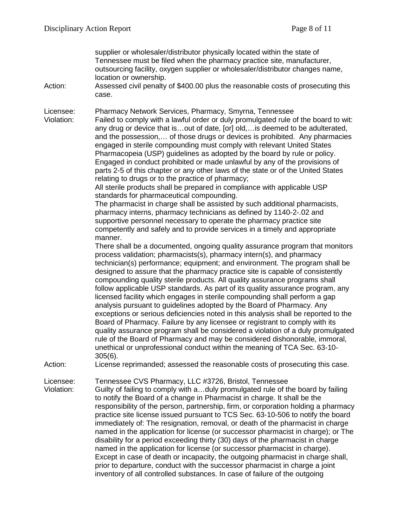supplier or wholesaler/distributor physically located within the state of Tennessee must be filed when the pharmacy practice site, manufacturer, outsourcing facility, oxygen supplier or wholesaler/distributor changes name, location or ownership.

Action: Assessed civil penalty of \$400.00 plus the reasonable costs of prosecuting this case.

Licensee: Pharmacy Network Services, Pharmacy, Smyrna, Tennessee<br>Violation: Failed to comply with a lawful order or duly promulgated rule of Failed to comply with a lawful order or duly promulgated rule of the board to wit: any drug or device that is…out of date, [or] old,…is deemed to be adulterated, and the possession,… of those drugs or devices is prohibited. Any pharmacies engaged in sterile compounding must comply with relevant United States Pharmacopeia (USP) guidelines as adopted by the board by rule or policy. Engaged in conduct prohibited or made unlawful by any of the provisions of parts 2-5 of this chapter or any other laws of the state or of the United States relating to drugs or to the practice of pharmacy;

All sterile products shall be prepared in compliance with applicable USP standards for pharmaceutical compounding.

The pharmacist in charge shall be assisted by such additional pharmacists, pharmacy interns, pharmacy technicians as defined by 1140-2-.02 and supportive personnel necessary to operate the pharmacy practice site competently and safely and to provide services in a timely and appropriate manner.

There shall be a documented, ongoing quality assurance program that monitors process validation; pharmacists(s), pharmacy intern(s), and pharmacy technician(s) performance; equipment; and environment. The program shall be designed to assure that the pharmacy practice site is capable of consistently compounding quality sterile products. All quality assurance programs shall follow applicable USP standards. As part of its quality assurance program, any licensed facility which engages in sterile compounding shall perform a gap analysis pursuant to guidelines adopted by the Board of Pharmacy. Any exceptions or serious deficiencies noted in this analysis shall be reported to the Board of Pharmacy. Failure by any licensee or registrant to comply with its quality assurance program shall be considered a violation of a duly promulgated rule of the Board of Pharmacy and may be considered dishonorable, immoral, unethical or unprofessional conduct within the meaning of TCA Sec. 63-10- 305(6).

Action: License reprimanded; assessed the reasonable costs of prosecuting this case.

Licensee: Tennessee CVS Pharmacy, LLC #3726, Bristol, Tennessee

Violation: Guilty of failing to comply with a…duly promulgated rule of the board by failing to notify the Board of a change in Pharmacist in charge. It shall be the responsibility of the person, partnership, firm, or corporation holding a pharmacy practice site license issued pursuant to TCS Sec. 63-10-506 to notify the board immediately of: The resignation, removal, or death of the pharmacist in charge named in the application for license (or successor pharmacist in charge); or The disability for a period exceeding thirty (30) days of the pharmacist in charge named in the application for license (or successor pharmacist in charge). Except in case of death or incapacity, the outgoing pharmacist in charge shall, prior to departure, conduct with the successor pharmacist in charge a joint inventory of all controlled substances. In case of failure of the outgoing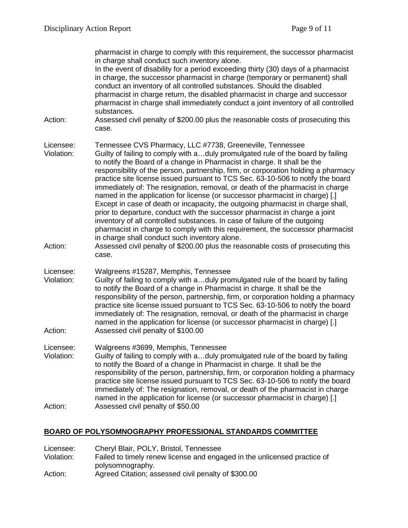pharmacist in charge to comply with this requirement, the successor pharmacist in charge shall conduct such inventory alone. In the event of disability for a period exceeding thirty (30) days of a pharmacist in charge, the successor pharmacist in charge (temporary or permanent) shall conduct an inventory of all controlled substances. Should the disabled pharmacist in charge return, the disabled pharmacist in charge and successor pharmacist in charge shall immediately conduct a joint inventory of all controlled substances. Action: Assessed civil penalty of \$200.00 plus the reasonable costs of prosecuting this case. Licensee: Tennessee CVS Pharmacy, LLC #7738, Greeneville, Tennessee Violation: Guilty of failing to comply with a…duly promulgated rule of the board by failing to notify the Board of a change in Pharmacist in charge. It shall be the responsibility of the person, partnership, firm, or corporation holding a pharmacy practice site license issued pursuant to TCS Sec. 63-10-506 to notify the board immediately of: The resignation, removal, or death of the pharmacist in charge named in the application for license (or successor pharmacist in charge) [.] Except in case of death or incapacity, the outgoing pharmacist in charge shall, prior to departure, conduct with the successor pharmacist in charge a joint inventory of all controlled substances. In case of failure of the outgoing pharmacist in charge to comply with this requirement, the successor pharmacist in charge shall conduct such inventory alone. Action: Assessed civil penalty of \$200.00 plus the reasonable costs of prosecuting this case. Licensee: Walgreens #15287, Memphis, Tennessee Violation: Guilty of failing to comply with a…duly promulgated rule of the board by failing to notify the Board of a change in Pharmacist in charge. It shall be the responsibility of the person, partnership, firm, or corporation holding a pharmacy practice site license issued pursuant to TCS Sec. 63-10-506 to notify the board immediately of: The resignation, removal, or death of the pharmacist in charge named in the application for license (or successor pharmacist in charge) [.] Action: Assessed civil penalty of \$100.00 Licensee: Walgreens #3699, Memphis, Tennessee Violation: Guilty of failing to comply with a…duly promulgated rule of the board by failing to notify the Board of a change in Pharmacist in charge. It shall be the responsibility of the person, partnership, firm, or corporation holding a pharmacy practice site license issued pursuant to TCS Sec. 63-10-506 to notify the board immediately of: The resignation, removal, or death of the pharmacist in charge named in the application for license (or successor pharmacist in charge) [.] Action: Assessed civil penalty of \$50.00

# **BOARD OF POLYSOMNOGRAPHY PROFESSIONAL STANDARDS COMMITTEE**

| Licensee:  | Cheryl Blair, POLY, Bristol, Tennessee                                   |
|------------|--------------------------------------------------------------------------|
| Violation: | Failed to timely renew license and engaged in the unlicensed practice of |
|            | polysomnography.                                                         |
| Action:    | Agreed Citation; assessed civil penalty of \$300.00                      |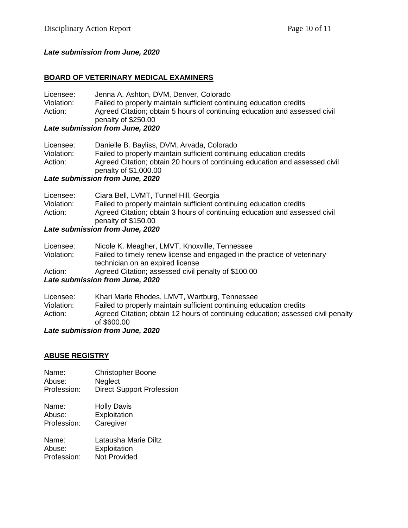# *Late submission from June, 2020*

### **BOARD OF VETERINARY MEDICAL EXAMINERS**

| Licensee:  | Jenna A. Ashton, DVM, Denver, Colorado                                     |
|------------|----------------------------------------------------------------------------|
| Violation: | Failed to properly maintain sufficient continuing education credits        |
| Action:    | Agreed Citation; obtain 5 hours of continuing education and assessed civil |
|            | penalty of \$250.00                                                        |
|            | Late submission from June, 2020                                            |

| Licensee:  | Danielle B. Bayliss, DVM, Arvada, Colorado                                                           |
|------------|------------------------------------------------------------------------------------------------------|
| Violation: | Failed to properly maintain sufficient continuing education credits                                  |
| Action:    | Agreed Citation; obtain 20 hours of continuing education and assessed civil<br>penalty of \$1,000.00 |

#### *Late submission from June, 2020*

| Licensee:  | Ciara Bell, LVMT, Tunnel Hill, Georgia                                                            |
|------------|---------------------------------------------------------------------------------------------------|
| Violation: | Failed to properly maintain sufficient continuing education credits                               |
| Action:    | Agreed Citation; obtain 3 hours of continuing education and assessed civil<br>penalty of \$150.00 |

# *Late submission from June, 2020*

| Licensee:                       | Nicole K. Meagher, LMVT, Knoxville, Tennessee                            |  |
|---------------------------------|--------------------------------------------------------------------------|--|
| Violation:                      | Failed to timely renew license and engaged in the practice of veterinary |  |
|                                 | technician on an expired license                                         |  |
| Action:                         | Agreed Citation; assessed civil penalty of \$100.00                      |  |
| Late submission from June, 2020 |                                                                          |  |
|                                 |                                                                          |  |

| Licensee:  | Khari Marie Rhodes, LMVT, Wartburg, Tennessee                                    |
|------------|----------------------------------------------------------------------------------|
| Violation: | Failed to properly maintain sufficient continuing education credits              |
| Action:    | Agreed Citation; obtain 12 hours of continuing education; assessed civil penalty |
|            | of \$600.00                                                                      |
|            | $l$ at automination from $l$ una 0000                                            |

*Late submission from June, 2020*

#### **ABUSE REGISTRY**

| Name:       | <b>Christopher Boone</b>         |
|-------------|----------------------------------|
| Abuse:      | <b>Neglect</b>                   |
| Profession: | <b>Direct Support Profession</b> |

Name: Holly Davis<br>Abuse: Exploitation Exploitation Profession: Caregiver

Name: Latausha Marie Diltz<br>Abuse: Exploitation Exploitation Profession: Not Provided